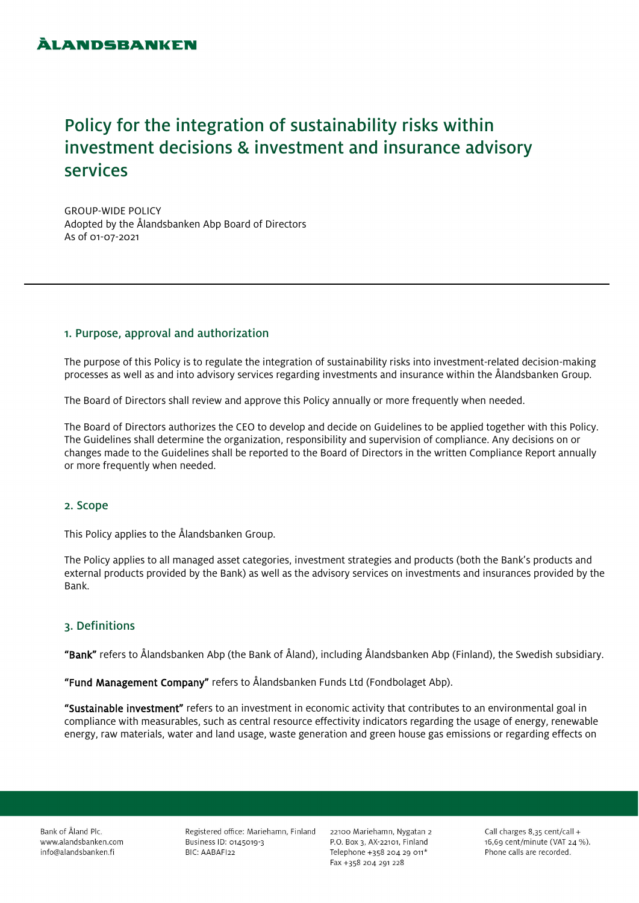# Policy for the integration of sustainability risks within investment decisions & investment and insurance advisory services

GROUP-WIDE POLICY Adopted by the Ålandsbanken Abp Board of Directors As of 01-07-2021

# 1. Purpose, approval and authorization

The purpose of this Policy is to regulate the integration of sustainability risks into investment-related decision-making processes as well as and into advisory services regarding investments and insurance within the Ålandsbanken Group.

The Board of Directors shall review and approve this Policy annually or more frequently when needed.

The Board of Directors authorizes the CEO to develop and decide on Guidelines to be applied together with this Policy. The Guidelines shall determine the organization, responsibility and supervision of compliance. Any decisions on or changes made to the Guidelines shall be reported to the Board of Directors in the written Compliance Report annually or more frequently when needed.

# 2. Scope

This Policy applies to the Ålandsbanken Group.

The Policy applies to all managed asset categories, investment strategies and products (both the Bank's products and external products provided by the Bank) as well as the advisory services on investments and insurances provided by the Bank.

# 3. Definitions

"Bank" refers to Ålandsbanken Abp (the Bank of Åland), including Ålandsbanken Abp (Finland), the Swedish subsidiary.

"Fund Management Company" refers to Ålandsbanken Funds Ltd (Fondbolaget Abp).

"Sustainable investment" refers to an investment in economic activity that contributes to an environmental goal in compliance with measurables, such as central resource effectivity indicators regarding the usage of energy, renewable energy, raw materials, water and land usage, waste generation and green house gas emissions or regarding effects on

Bank of Åland Plc. www.alandsbanken.com info@alandsbanken.fi

Registered office: Mariehamn, Finland Business ID: 0145019-3 BIC: AABAFI22

22100 Mariehamn, Nygatan 2 P.O. Box 3, AX-22101, Finland Telephone +358 204 29 011\* Fax +358 204 291 228

Call charges 8,35 cent/call + 16,69 cent/minute (VAT 24 %). Phone calls are recorded.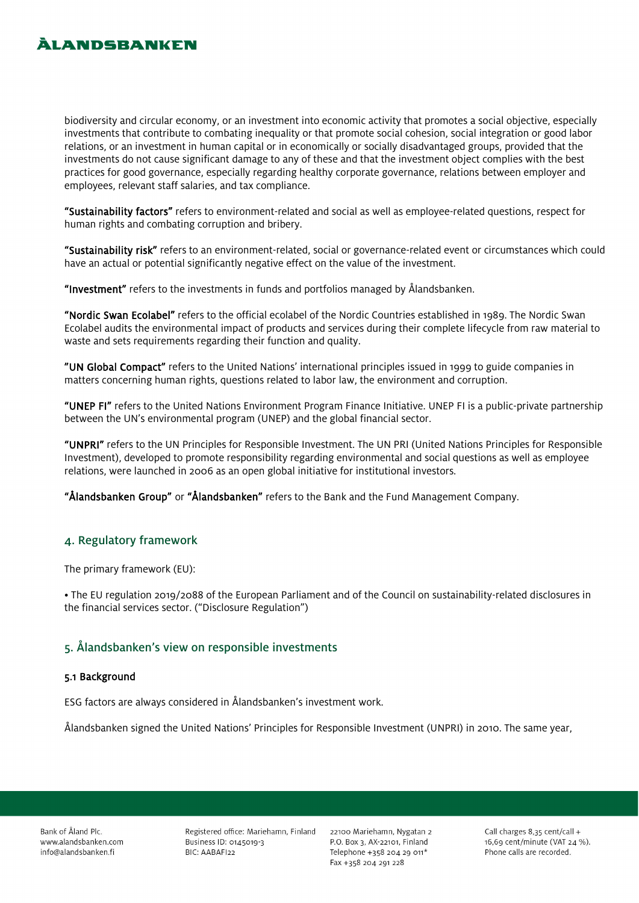# **ÀLANDSBANKEN**

biodiversity and circular economy, or an investment into economic activity that promotes a social objective, especially investments that contribute to combating inequality or that promote social cohesion, social integration or good labor relations, or an investment in human capital or in economically or socially disadvantaged groups, provided that the investments do not cause significant damage to any of these and that the investment object complies with the best practices for good governance, especially regarding healthy corporate governance, relations between employer and employees, relevant staff salaries, and tax compliance.

"Sustainability factors" refers to environment-related and social as well as employee-related questions, respect for human rights and combating corruption and bribery.

"Sustainability risk" refers to an environment-related, social or governance-related event or circumstances which could have an actual or potential significantly negative effect on the value of the investment.

"Investment" refers to the investments in funds and portfolios managed by Ålandsbanken.

"Nordic Swan Ecolabel" refers to the official ecolabel of the Nordic Countries established in 1989. The Nordic Swan Ecolabel audits the environmental impact of products and services during their complete lifecycle from raw material to waste and sets requirements regarding their function and quality.

"UN Global Compact" refers to the United Nations' international principles issued in 1999 to guide companies in matters concerning human rights, questions related to labor law, the environment and corruption.

"UNEP FI" refers to the United Nations Environment Program Finance Initiative. UNEP FI is a public-private partnership between the UN's environmental program (UNEP) and the global financial sector.

"UNPRI" refers to the UN Principles for Responsible Investment. The UN PRI (United Nations Principles for Responsible Investment), developed to promote responsibility regarding environmental and social questions as well as employee relations, were launched in 2006 as an open global initiative for institutional investors.

"Ålandsbanken Group" or "Ålandsbanken" refers to the Bank and the Fund Management Company.

# 4. Regulatory framework

The primary framework (EU):

• The EU regulation 2019/2088 of the European Parliament and of the Council on sustainability-related disclosures in the financial services sector. ("Disclosure Regulation")

# 5. Ålandsbanken's view on responsible investments

#### 5.1 Background

ESG factors are always considered in Ålandsbanken's investment work.

Ålandsbanken signed the United Nations' Principles for Responsible Investment (UNPRI) in 2010. The same year,

Bank of Åland Plc. www.alandsbanken.com info@alandsbanken.fi

Registered office: Mariehamn, Finland Business ID: 0145019-3 BIC: AABAFI22

22100 Mariehamn, Nygatan 2 P.O. Box 3, AX-22101, Finland Telephone +358 204 29 011\* Fax +358 204 291 228

Call charges 8.35 cent/call + 16,69 cent/minute (VAT 24 %). Phone calls are recorded.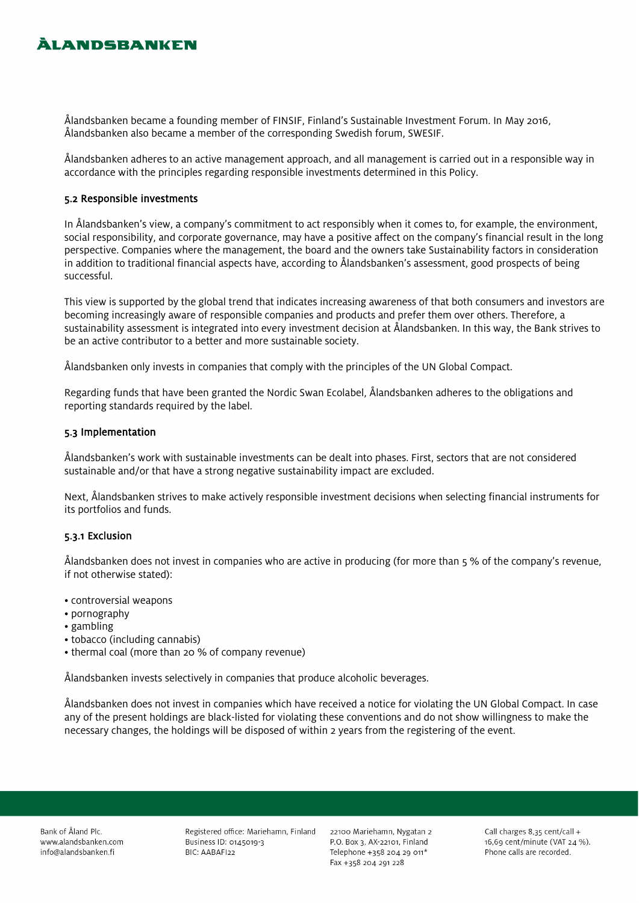# **ÀLANDSBANKEN**

Ålandsbanken became a founding member of FINSIF, Finland's Sustainable Investment Forum. In May 2016, Ålandsbanken also became a member of the corresponding Swedish forum, SWESIF.

Ålandsbanken adheres to an active management approach, and all management is carried out in a responsible way in accordance with the principles regarding responsible investments determined in this Policy.

### 5.2 Responsible investments

In Ålandsbanken's view, a company's commitment to act responsibly when it comes to, for example, the environment, social responsibility, and corporate governance, may have a positive affect on the company's financial result in the long perspective. Companies where the management, the board and the owners take Sustainability factors in consideration in addition to traditional financial aspects have, according to Ålandsbanken's assessment, good prospects of being successful.

This view is supported by the global trend that indicates increasing awareness of that both consumers and investors are becoming increasingly aware of responsible companies and products and prefer them over others. Therefore, a sustainability assessment is integrated into every investment decision at Ålandsbanken. In this way, the Bank strives to be an active contributor to a better and more sustainable society.

Ålandsbanken only invests in companies that comply with the principles of the UN Global Compact.

Regarding funds that have been granted the Nordic Swan Ecolabel, Ålandsbanken adheres to the obligations and reporting standards required by the label.

### 5.3 Implementation

Ålandsbanken's work with sustainable investments can be dealt into phases. First, sectors that are not considered sustainable and/or that have a strong negative sustainability impact are excluded.

Next, Ålandsbanken strives to make actively responsible investment decisions when selecting financial instruments for its portfolios and funds.

### 5.3.1 Exclusion

Ålandsbanken does not invest in companies who are active in producing (for more than 5 % of the company's revenue, if not otherwise stated):

- controversial weapons
- pornography
- gambling
- tobacco (including cannabis)
- thermal coal (more than 20 % of company revenue)

Ålandsbanken invests selectively in companies that produce alcoholic beverages.

Ålandsbanken does not invest in companies which have received a notice for violating the UN Global Compact. In case any of the present holdings are black-listed for violating these conventions and do not show willingness to make the necessary changes, the holdings will be disposed of within 2 years from the registering of the event.

Bank of Åland Plc. www.alandsbanken.com info@alandsbanken.fi

Registered office: Mariehamn, Finland Business ID: 0145019-3 BIC: AABAFI22

22100 Mariehamn, Nygatan 2 P.O. Box 3, AX-22101, Finland Telephone +358 204 29 011\* Fax +358 204 291 228

Call charges 8,35 cent/call + 16,69 cent/minute (VAT 24 %). Phone calls are recorded.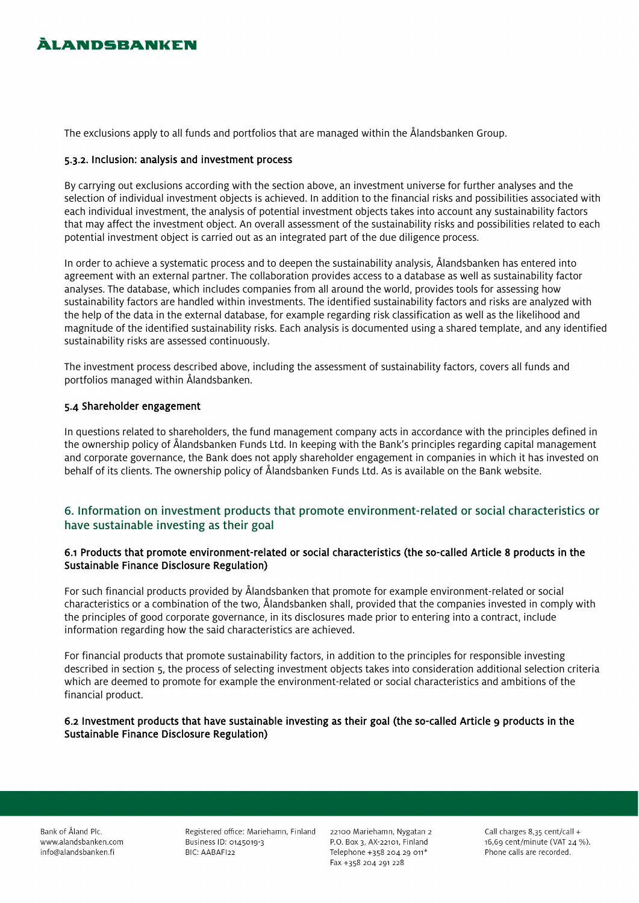# **ÀLANDSBANKEN**

The exclusions apply to all funds and portfolios that are managed within the Ålandsbanken Group.

### 5.3.2. Inclusion: analysis and investment process

By carrying out exclusions according with the section above, an investment universe for further analyses and the selection of individual investment objects is achieved. In addition to the financial risks and possibilities associated with each individual investment, the analysis of potential investment objects takes into account any sustainability factors that may affect the investment object. An overall assessment of the sustainability risks and possibilities related to each potential investment object is carried out as an integrated part of the due diligence process.

In order to achieve a systematic process and to deepen the sustainability analysis, Ålandsbanken has entered into agreement with an external partner. The collaboration provides access to a database as well as sustainability factor analyses. The database, which includes companies from all around the world, provides tools for assessing how sustainability factors are handled within investments. The identified sustainability factors and risks are analyzed with the help of the data in the external database, for example regarding risk classification as well as the likelihood and magnitude of the identified sustainability risks. Each analysis is documented using a shared template, and any identified sustainability risks are assessed continuously.

The investment process described above, including the assessment of sustainability factors, covers all funds and portfolios managed within Ålandsbanken.

### 5.4 Shareholder engagement

In questions related to shareholders, the fund management company acts in accordance with the principles defined in the ownership policy of Ålandsbanken Funds Ltd. In keeping with the Bank's principles regarding capital management and corporate governance, the Bank does not apply shareholder engagement in companies in which it has invested on behalf of its clients. The ownership policy of Ålandsbanken Funds Ltd. As is available on the Bank website.

# 6. Information on investment products that promote environment-related or social characteristics or have sustainable investing as their goal

### 6.1 Products that promote environment-related or social characteristics (the so-called Article 8 products in the Sustainable Finance Disclosure Regulation)

For such financial products provided by Ålandsbanken that promote for example environment-related or social characteristics or a combination of the two, Ålandsbanken shall, provided that the companies invested in comply with the principles of good corporate governance, in its disclosures made prior to entering into a contract, include information regarding how the said characteristics are achieved.

For financial products that promote sustainability factors, in addition to the principles for responsible investing described in section 5, the process of selecting investment objects takes into consideration additional selection criteria which are deemed to promote for example the environment-related or social characteristics and ambitions of the financial product.

### 6.2 Investment products that have sustainable investing as their goal (the so-called Article 9 products in the Sustainable Finance Disclosure Regulation)

Bank of Åland Plc. www.alandsbanken.com info@alandsbanken.fi

Registered office: Mariehamn, Finland Business ID: 0145019-3 BIC: AABAFI22

22100 Mariehamn, Nygatan 2 P.O. Box 3, AX-22101, Finland Telephone +358 204 29 011\* Fax +358 204 291 228

Call charges 8.35 cent/call + 16,69 cent/minute (VAT 24 %). Phone calls are recorded.